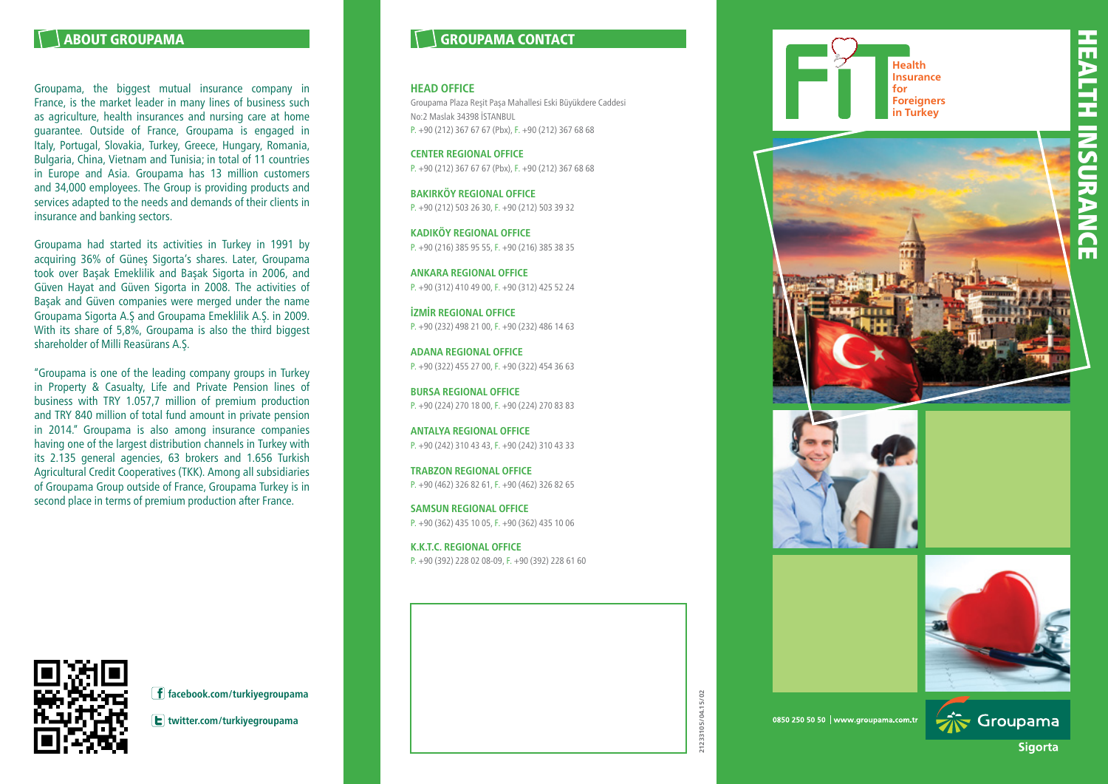## ABOUT GROUPAMA

Groupama, the biggest mutual insurance company in France, is the market leader in many lines of business such as agriculture, health insurances and nursing care at home guarantee. Outside of France, Groupama is engaged in Italy, Portugal, Slovakia, Turkey, Greece, Hungary, Romania, Bulgaria, China, Vietnam and Tunisia; in total of 11 countries in Europe and Asia. Groupama has 13 million customers and 34,000 employees. The Group is providing products and services adapted to the needs and demands of their clients in insurance and banking sectors.

Groupama had started its activities in Turkey in 1991 by acquiring 36% of Güneş Sigorta's shares. Later, Groupama took over Başak Emeklilik and Başak Sigorta in 2006, and Güven Hayat and Güven Sigorta in 2008. The activities of Başak and Güven companies were merged under the name Groupama Sigorta A.Ş and Groupama Emeklilik A.Ş. in 2009. With its share of 5,8%, Groupama is also the third biggest shareholder of Milli Reasürans A.Ş.

"Groupama is one of the leading company groups in Turkey in Property & Casualty, Life and Private Pension lines of business with TRY 1.057,7 million of premium production and TRY 840 million of total fund amount in private pension in 2014." Groupama is also among insurance companies having one of the largest distribution channels in Turkey with its 2.135 general agencies, 63 brokers and 1.656 Turkish Agricultural Credit Cooperatives (TKK). Among all subsidiaries of Groupama Group outside of France, Groupama Turkey is in second place in terms of premium production after France.

# GROUPAMA CONTACT

#### **HEAD OFFICE**

Groupama Plaza Reşit Paşa Mahallesi Eski Büyükdere Caddesi No:2 Maslak 34398 İSTANBUL P. +90 (212) 367 67 67 (Pbx), F. +90 (212) 367 68 68

**CENTER REGIONAL OFFICE** P. +90 (212) 367 67 67 (Pbx), F. +90 (212) 367 68 68

**BAKIRKÖY REGIONAL OFFICE** P. +90 (212) 503 26 30, F. +90 (212) 503 39 32

**KADIKÖY REGIONAL OFFICE** P. +90 (216) 385 95 55, F. +90 (216) 385 38 35

**ANKARA REGIONAL OFFICE** P. +90 (312) 410 49 00, F. +90 (312) 425 52 24

**İZMİR REGIONAL OFFICE**  $P$  +90 (232) 498 21 00, F +90 (232) 486 14 63

**ADANA REGIONAL OFFICE** P. +90 (322) 455 27 00, F. +90 (322) 454 36 63

**BURSA REGIONAL OFFICE** P. +90 (224) 270 18 00, F. +90 (224) 270 83 83

**ANTALYA REGIONAL OFFICE** P. +90 (242) 310 43 43, F. +90 (242) 310 43 33

**TRABZON REGIONAL OFFICE** P. +90 (462) 326 82 61, F. +90 (462) 326 82 65

**SAMSUN REGIONAL OFFICE** P. +90 (362) 435 10 05, F. +90 (362) 435 10 06

**K.K.T.C. REGIONAL OFFICE** P. +90 (392) 228 02 08-09, F. +90 (392) 228 61 60













is Groupama **Sigorta** 



**facebook.com/turkiyegroupama**



**21233105/04.15/02**

21233105/04.15/02

0850 250 50 50 | www.groupama.com.tr